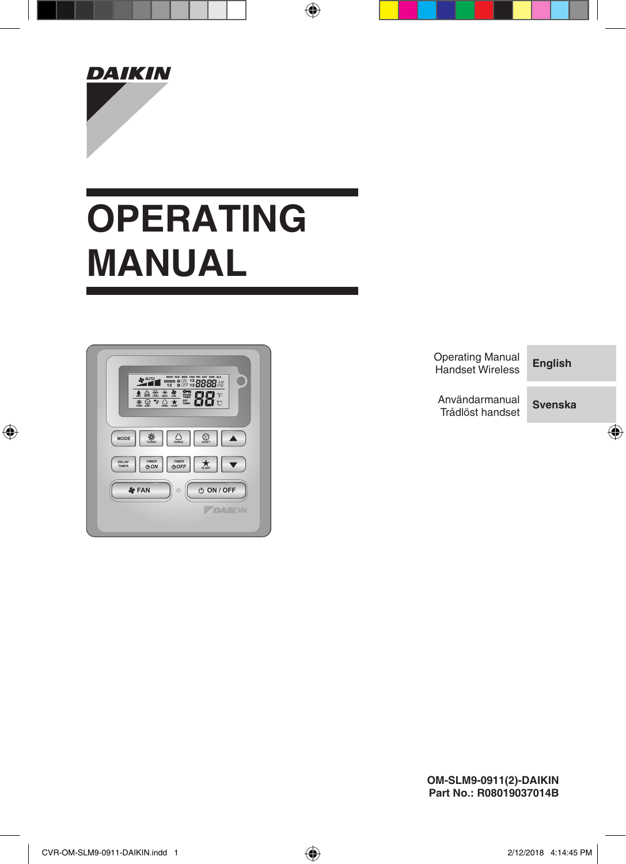

# **OPERATING MANUAL**



Operating Manual Handset Wireless **English**

**Svenska** Användarmanual Trådlöst handset

**OM-SLM9-0911(2)-DAIKIN Part No.: R08019037014B**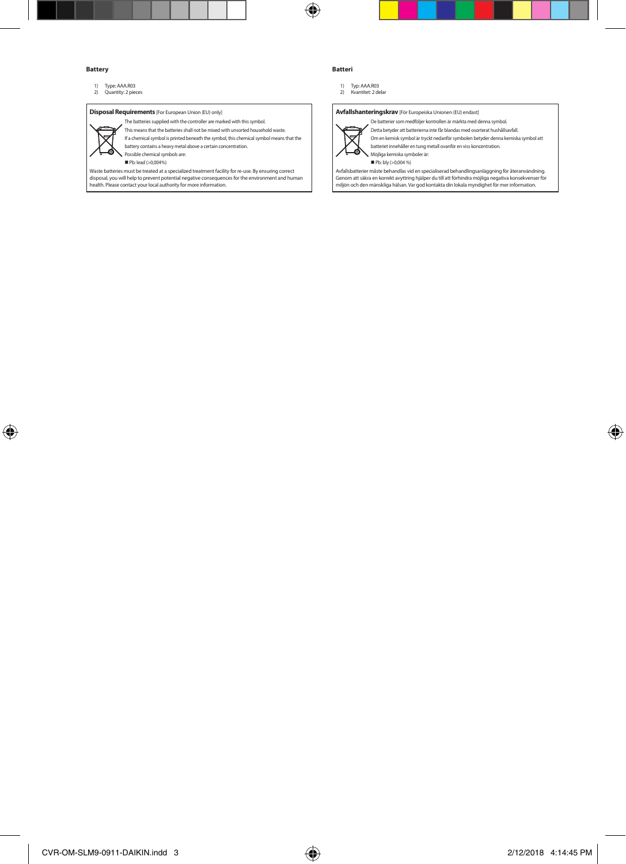#### **Battery**

1) Type: AAA.R03 2) Quantity: 2 pieces

#### **Disposal Requirements** [For European Union (EU) only]



The batteries supplied with the controller are marked with this symbol. This means that the batteries shall not be mixed with unsorted household waste.

If a chemical symbol is printed beneath the symbol, this chemical symbol means that the

battery contains a heavy metal above a certain concentration. Possible chemical symbols are:

Pb: lead (>0,004%)

Waste batteries must be treated at a specialized treatment facility for re-use. By ensuring correct disposal, you will help to prevent potential negative consequences for the environment and human health. Please contact your local authority for more information.

#### **Batteri**

1) Typ: AAA.R03 2) Kvantitet: 2 delar

**Avfallshanteringskrav** [För Europeiska Unionen (EU) endast]



De batterier som medföljer kontrollen är märkta med denna symbol. Detta betyder att batterierna inte får blandas med osorterat hushållsavfall.

Om en kemisk symbol är tryckt nedanför symbolen betyder denna kemiska symbol att batteriet innehåller en tung metall ovanför en viss koncentration.

Möjliga kemiska symboler är:

Pb: bly (>0,004 %)

Avfallsbatterier måste behandlas vid en specialiserad behandlingsanläggning för återanvändning. Genom att säkra en korrekt avyttring hjälper du till att förhindra möjliga negativa konsekvenser för miljön och den mänskliga hälsan. Var god kontakta din lokala myndighet för mer information.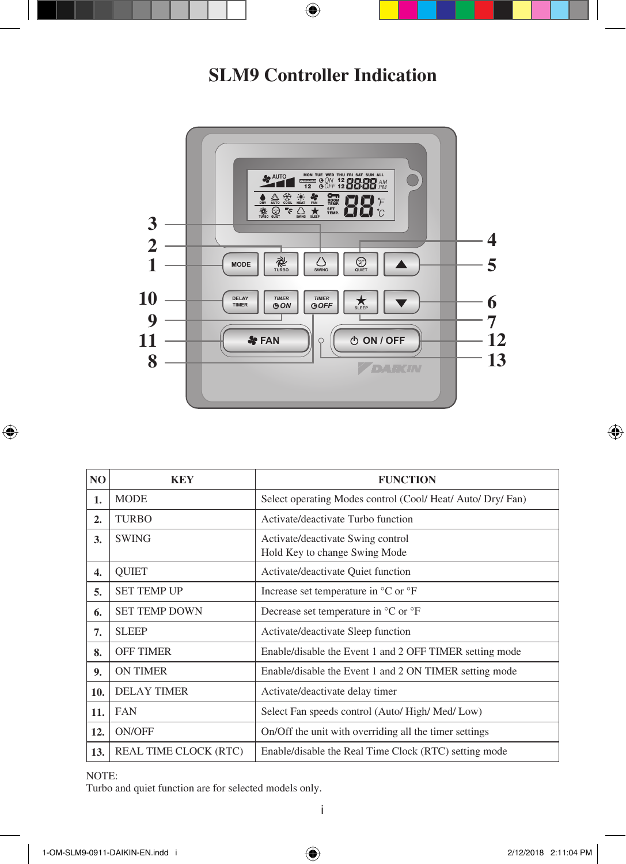# **SLM9 Controller Indication**



| N <sub>O</sub> | <b>KEY</b>                   | <b>FUNCTION</b>                                                    |  |
|----------------|------------------------------|--------------------------------------------------------------------|--|
| 1.             | <b>MODE</b>                  | Select operating Modes control (Cool/Heat/Auto/Dry/Fan)            |  |
| 2.             | <b>TURBO</b>                 | Activate/deactivate Turbo function                                 |  |
| 3.             | <b>SWING</b>                 | Activate/deactivate Swing control<br>Hold Key to change Swing Mode |  |
| 4.             | <b>OUIET</b>                 | Activate/deactivate Quiet function                                 |  |
| 5.             | <b>SET TEMP UP</b>           | Increase set temperature in $\mathrm{C}$ or $\mathrm{F}$           |  |
| 6.             | <b>SET TEMP DOWN</b>         | Decrease set temperature in $^{\circ}$ C or $^{\circ}$ F           |  |
| 7.             | <b>SLEEP</b>                 | Activate/deactivate Sleep function                                 |  |
| 8.             | <b>OFF TIMER</b>             | Enable/disable the Event 1 and 2 OFF TIMER setting mode            |  |
| 9.             | <b>ON TIMER</b>              | Enable/disable the Event 1 and 2 ON TIMER setting mode             |  |
| 10.            | <b>DELAY TIMER</b>           | Activate/deactivate delay timer                                    |  |
| 11.            | <b>FAN</b>                   | Select Fan speeds control (Auto/High/Med/Low)                      |  |
| 12.            | ON/OFF                       | On/Off the unit with overriding all the timer settings             |  |
| 13.            | <b>REAL TIME CLOCK (RTC)</b> | Enable/disable the Real Time Clock (RTC) setting mode              |  |

NOTE:

Turbo and quiet function are for selected models only.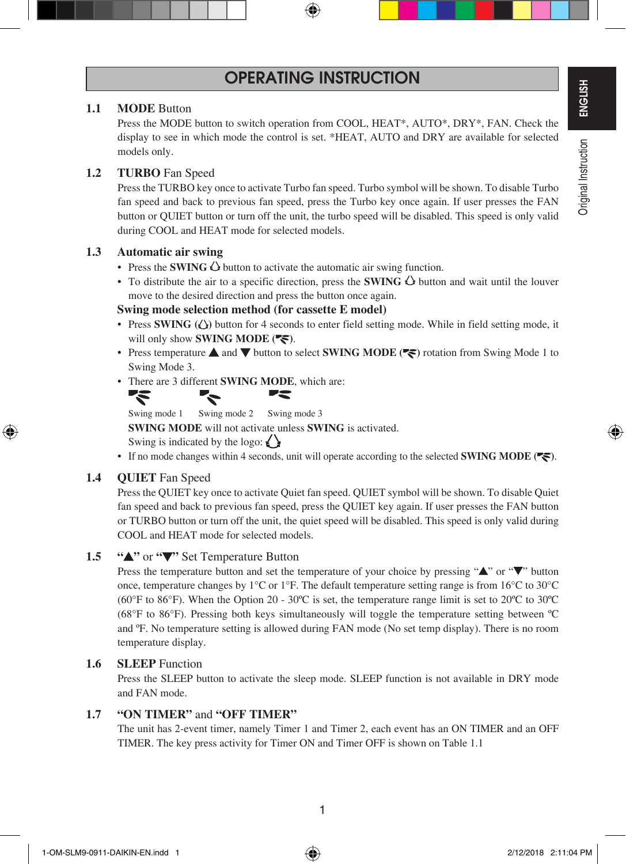## **OPERATING INSTRUCTION**

#### **1.1 MODE** Button

 Press the MODE button to switch operation from COOL, HEAT\*, AUTO\*, DRY\*, FAN. Check the display to see in which mode the control is set. \*HEAT, AUTO and DRY are available for selected models only.

#### **1.2 TURBO** Fan Speed

 Press the TURBO key once to activate Turbo fan speed. Turbo symbol will be shown. To disable Turbo fan speed and back to previous fan speed, press the Turbo key once again. If user presses the FAN button or QUIET button or turn off the unit, the turbo speed will be disabled. This speed is only valid during COOL and HEAT mode for selected models.

#### **1.3 Automatic air swing**

- Press the **SWING**  $\triangle$  button to activate the automatic air swing function.
- To distribute the air to a specific direction, press the **SWING**  $\triangle$  button and wait until the louver move to the desired direction and press the button once again.

#### **Swing mode selection method (for cassette E model)**

- Press **SWING** ( $\Diamond$ ) button for 4 seconds to enter field setting mode. While in field setting mode, it will only show **SWING MODE** ( $\blacktriangledown$ ).
- Press temperature  $\triangle$  and  $\nabla$  button to select **SWING MODE** ( $\blacktriangledown$ ) rotation from Swing Mode 1 to Swing Mode 3.
- There are 3 different **SWING MODE**, which are:



Swing mode 1 Swing mode 2 Swing mode 3

**SWING MODE** will not activate unless **SWING** is activated.

Swing is indicated by the logo:  $\langle \rangle$ 

• If no mode changes within 4 seconds, unit will operate according to the selected **SWING MODE** (

#### 1.4 **QUIET** Fan Speed

 Press the QUIET key once to activate Quiet fan speed. QUIET symbol will be shown. To disable Quiet fan speed and back to previous fan speed, press the QUIET key again. If user presses the FAN button or TURBO button or turn off the unit, the quiet speed will be disabled. This speed is only valid during COOL and HEAT mode for selected models.

### **1.5 " "** or **" "** Set Temperature Button

Press the temperature button and set the temperature of your choice by pressing " $\blacktriangle$ " or " $\nabla$ " button once, temperature changes by 1°C or 1°F. The default temperature setting range is from 16°C to 30°C (60°F to 86°F). When the Option 20 - 30ºC is set, the temperature range limit is set to 20ºC to 30ºC (68°F to 86°F). Pressing both keys simultaneously will toggle the temperature setting between ºC and ºF. No temperature setting is allowed during FAN mode (No set temp display). There is no room temperature display.

#### 1.6 **SLEEP** Function

 Press the SLEEP button to activate the sleep mode. SLEEP function is not available in DRY mode and FAN mode.

#### **1.7 "ON TIMER"** and **"OFF TIMER"**

 The unit has 2-event timer, namely Timer 1 and Timer 2, each event has an ON TIMER and an OFF TIMER. The key press activity for Timer ON and Timer OFF is shown on Table 1.1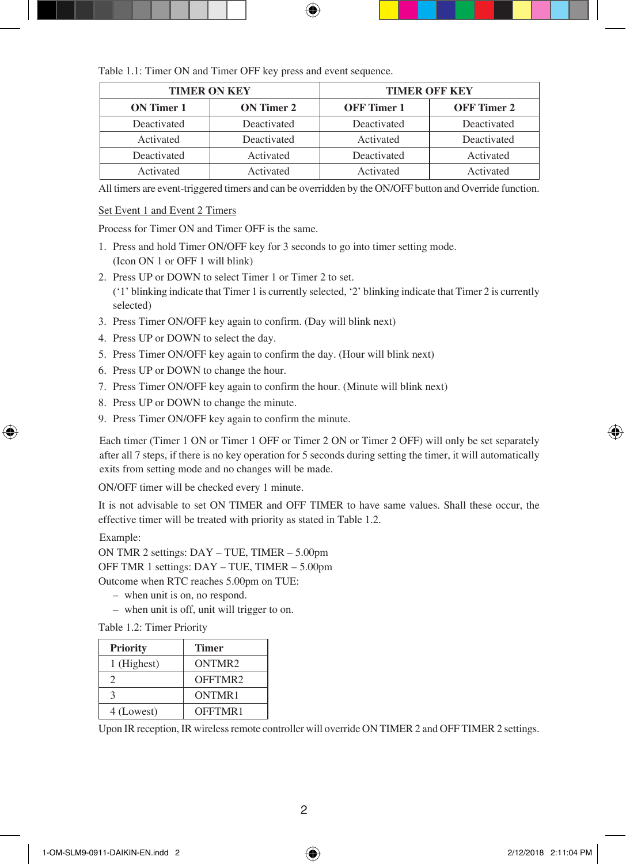Table 1.1: Timer ON and Timer OFF key press and event sequence.

| <b>TIMER ON KEY</b> |             | <b>TIMER OFF KEY</b> |             |  |
|---------------------|-------------|----------------------|-------------|--|
| ON Timer 1          | ON Timer 2  | <b>OFF</b> Timer 1   | OFF Timer 2 |  |
| Deactivated         | Deactivated | Deactivated          | Deactivated |  |
| Activated           | Deactivated | Activated            | Deactivated |  |
| Deactivated         | Activated   | Deactivated          | Activated   |  |
| Activated           | Activated   | Activated            | Activated   |  |

All timers are event-triggered timers and can be overridden by the ON/OFF button and Override function.

#### Set Event 1 and Event 2 Timers

Process for Timer ON and Timer OFF is the same.

- 1. Press and hold Timer ON/OFF key for 3 seconds to go into timer setting mode. (Icon ON 1 or OFF 1 will blink)
- 2. Press UP or DOWN to select Timer 1 or Timer 2 to set. ('1' blinking indicate that Timer 1 is currently selected, '2' blinking indicate that Timer 2 is currently selected)
- 3. Press Timer ON/OFF key again to confirm. (Day will blink next)
- 4. Press UP or DOWN to select the day.
- 5. Press Timer ON/OFF key again to confirm the day. (Hour will blink next)
- 6. Press UP or DOWN to change the hour.
- 7. Press Timer ON/OFF key again to confirm the hour. (Minute will blink next)
- 8. Press UP or DOWN to change the minute.
- 9. Press Timer ON/OFF key again to confirm the minute.

 Each timer (Timer 1 ON or Timer 1 OFF or Timer 2 ON or Timer 2 OFF) will only be set separately after all 7 steps, if there is no key operation for 5 seconds during setting the timer, it will automatically exits from setting mode and no changes will be made.

ON/OFF timer will be checked every 1 minute.

 It is not advisable to set ON TIMER and OFF TIMER to have same values. Shall these occur, the effective timer will be treated with priority as stated in Table 1.2.

Example:

ON TMR 2 settings: DAY – TUE, TIMER – 5.00pm OFF TMR 1 settings: DAY – TUE, TIMER – 5.00pm Outcome when RTC reaches 5.00pm on TUE:

- when unit is on, no respond.
- when unit is off, unit will trigger to on.

Table 1.2: Timer Priority

| <b>Priority</b> | <b>Timer</b>       |
|-----------------|--------------------|
| 1 (Highest)     | ONTMR <sub>2</sub> |
|                 | OFFTMR2            |
|                 | ONTMR1             |
| 4 (Lowest)      | OFFTMR1            |

Upon IR reception, IR wireless remote controller will override ON TIMER 2 and OFF TIMER 2 settings.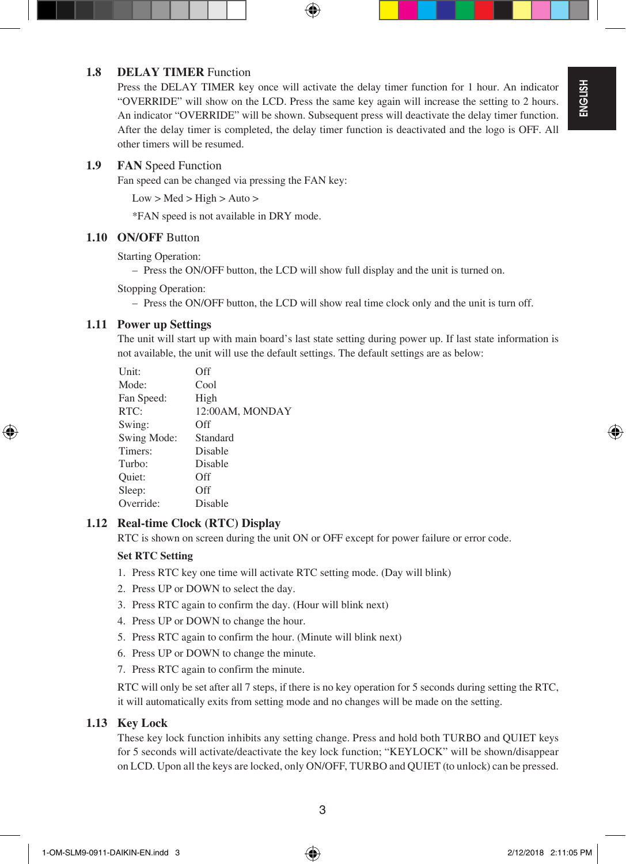### **1.8 DELAY TIMER** Function

Press the DELAY TIMER key once will activate the delay timer function for 1 hour. An indicator "OVERRIDE" will show on the LCD. Press the same key again will increase the setting to 2 hours. An indicator "OVERRIDE" will be shown. Subsequent press will deactivate the delay timer function. After the delay timer is completed, the delay timer function is deactivated and the logo is OFF. All other timers will be resumed.

#### 1.9 **FAN** Speed Function

Fan speed can be changed via pressing the FAN key:

 $Low > Med > High > Auto >$ 

\*FAN speed is not available in DRY mode.

#### **1.10 ON/OFF** Button

Starting Operation:

– Press the ON/OFF button, the LCD will show full display and the unit is turned on.

Stopping Operation:

– Press the ON/OFF button, the LCD will show real time clock only and the unit is turn off.

#### **1.11 Power up Settings**

 The unit will start up with main board's last state setting during power up. If last state information is not available, the unit will use the default settings. The default settings are as below:

| Off             |
|-----------------|
| Cool            |
| High            |
| 12:00AM, MONDAY |
| Off             |
| Standard        |
| Disable         |
| Disable         |
| Off             |
| Off             |
| Disable         |
|                 |

### **1.12 Real-time Clock (RTC) Display**

RTC is shown on screen during the unit ON or OFF except for power failure or error code.

#### **Set RTC Setting**

- 1. Press RTC key one time will activate RTC setting mode. (Day will blink)
- 2. Press UP or DOWN to select the day.
- 3. Press RTC again to confirm the day. (Hour will blink next)
- 4. Press UP or DOWN to change the hour.
- 5. Press RTC again to confirm the hour. (Minute will blink next)
- 6. Press UP or DOWN to change the minute.
- 7. Press RTC again to confirm the minute.

 RTC will only be set after all 7 steps, if there is no key operation for 5 seconds during setting the RTC, it will automatically exits from setting mode and no changes will be made on the setting.

#### **1.13 Key Lock**

 These key lock function inhibits any setting change. Press and hold both TURBO and QUIET keys for 5 seconds will activate/deactivate the key lock function; "KEYLOCK" will be shown/disappear on LCD. Upon all the keys are locked, only ON/OFF, TURBO and QUIET (to unlock) can be pressed.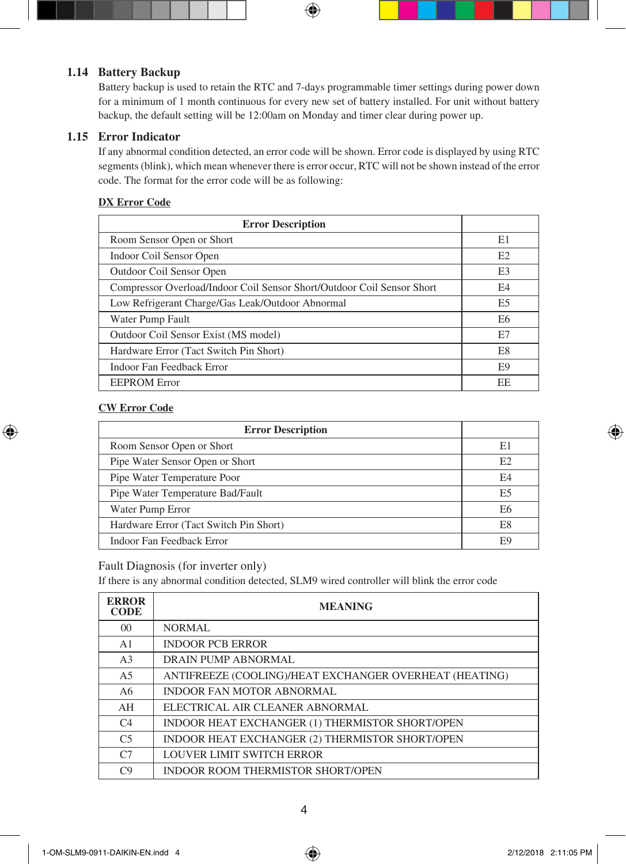## **1.14 Battery Backup**

 Battery backup is used to retain the RTC and 7-days programmable timer settings during power down for a minimum of 1 month continuous for every new set of battery installed. For unit without battery backup, the default setting will be 12:00am on Monday and timer clear during power up.

### **1.15 Error Indicator**

 If any abnormal condition detected, an error code will be shown. Error code is displayed by using RTC segments (blink), which mean whenever there is error occur, RTC will not be shown instead of the error code. The format for the error code will be as following:

#### **DX Error Code**

| <b>Error Description</b>                                               |                |
|------------------------------------------------------------------------|----------------|
| Room Sensor Open or Short                                              | E1             |
| Indoor Coil Sensor Open                                                | E2             |
| Outdoor Coil Sensor Open                                               | E <sub>3</sub> |
| Compressor Overload/Indoor Coil Sensor Short/Outdoor Coil Sensor Short | E <sub>4</sub> |
| Low Refrigerant Charge/Gas Leak/Outdoor Abnormal                       | E <sub>5</sub> |
| Water Pump Fault                                                       | E6             |
| Outdoor Coil Sensor Exist (MS model)                                   | E7             |
| Hardware Error (Tact Switch Pin Short)                                 | E8             |
| Indoor Fan Feedback Error                                              | E <sub>9</sub> |
| <b>EEPROM Error</b>                                                    | EE             |

#### **CW Error Code**

| <b>Error Description</b>               |                |
|----------------------------------------|----------------|
| Room Sensor Open or Short              | E1             |
| Pipe Water Sensor Open or Short        | E <sub>2</sub> |
| Pipe Water Temperature Poor            | E4             |
| Pipe Water Temperature Bad/Fault       | E <sub>5</sub> |
| Water Pump Error                       | E6             |
| Hardware Error (Tact Switch Pin Short) | E8             |
| Indoor Fan Feedback Error              | F9             |

#### Fault Diagnosis (for inverter only)

If there is any abnormal condition detected, SLM9 wired controller will blink the error code

| <b>ERROR</b><br><b>CODE</b> | <b>MEANING</b>                                         |  |  |
|-----------------------------|--------------------------------------------------------|--|--|
| 0 <sup>0</sup>              | <b>NORMAL</b>                                          |  |  |
| A <sub>1</sub>              | <b>INDOOR PCB ERROR</b>                                |  |  |
| A <sub>3</sub>              | DRAIN PUMP ABNORMAL                                    |  |  |
| A <sub>5</sub>              | ANTIFREEZE (COOLING)/HEAT EXCHANGER OVERHEAT (HEATING) |  |  |
| A6                          | <b>INDOOR FAN MOTOR ABNORMAL</b>                       |  |  |
| AH                          | ELECTRICAL AIR CLEANER ABNORMAL                        |  |  |
| C <sub>4</sub>              | INDOOR HEAT EXCHANGER (1) THERMISTOR SHORT/OPEN        |  |  |
| C <sub>5</sub>              | INDOOR HEAT EXCHANGER (2) THERMISTOR SHORT/OPEN        |  |  |
| C <sub>7</sub>              | LOUVER LIMIT SWITCH ERROR                              |  |  |
| C9                          | <b>INDOOR ROOM THERMISTOR SHORT/OPEN</b>               |  |  |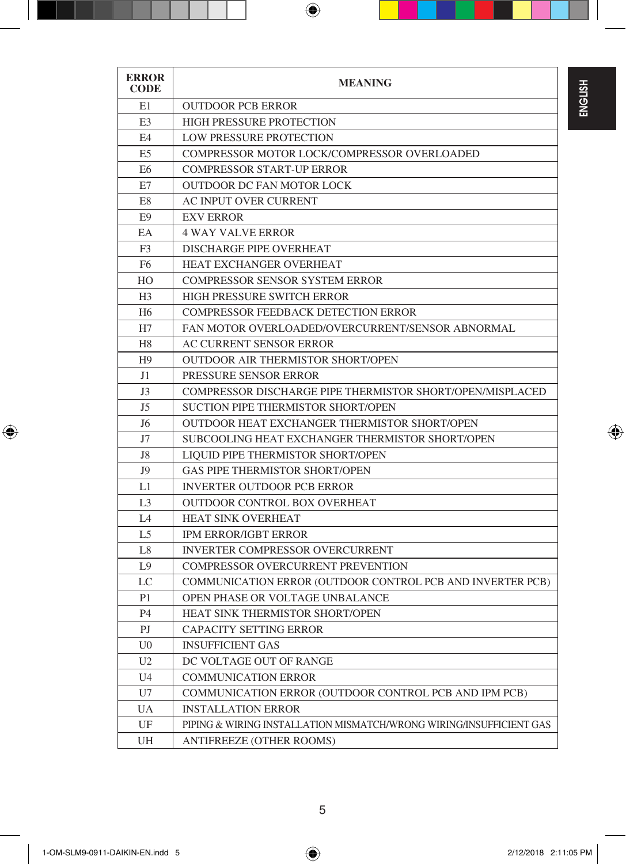| <b>ERROR</b><br>CODE | <b>MEANING</b>                                                      |  |  |
|----------------------|---------------------------------------------------------------------|--|--|
| E1                   | <b>OUTDOOR PCB ERROR</b>                                            |  |  |
| E3                   | <b>HIGH PRESSURE PROTECTION</b>                                     |  |  |
| E4                   | <b>LOW PRESSURE PROTECTION</b>                                      |  |  |
| E <sub>5</sub>       | COMPRESSOR MOTOR LOCK/COMPRESSOR OVERLOADED                         |  |  |
| E <sub>6</sub>       | <b>COMPRESSOR START-UP ERROR</b>                                    |  |  |
| E7                   | <b>OUTDOOR DC FAN MOTOR LOCK</b>                                    |  |  |
| E8                   | AC INPUT OVER CURRENT                                               |  |  |
| E <sub>9</sub>       | <b>EXV ERROR</b>                                                    |  |  |
| EA                   | <b>4 WAY VALVE ERROR</b>                                            |  |  |
| F <sub>3</sub>       | DISCHARGE PIPE OVERHEAT                                             |  |  |
| F <sub>6</sub>       | <b>HEAT EXCHANGER OVERHEAT</b>                                      |  |  |
| HO                   | <b>COMPRESSOR SENSOR SYSTEM ERROR</b>                               |  |  |
| H <sub>3</sub>       | HIGH PRESSURE SWITCH ERROR                                          |  |  |
| H <sub>6</sub>       | <b>COMPRESSOR FEEDBACK DETECTION ERROR</b>                          |  |  |
| H7                   | FAN MOTOR OVERLOADED/OVERCURRENT/SENSOR ABNORMAL                    |  |  |
| H <sub>8</sub>       | AC CURRENT SENSOR ERROR                                             |  |  |
| H <sub>9</sub>       | <b>OUTDOOR AIR THERMISTOR SHORT/OPEN</b>                            |  |  |
| J1                   | PRESSURE SENSOR ERROR                                               |  |  |
| J3                   | COMPRESSOR DISCHARGE PIPE THERMISTOR SHORT/OPEN/MISPLACED           |  |  |
| J5                   | SUCTION PIPE THERMISTOR SHORT/OPEN                                  |  |  |
| J6                   | OUTDOOR HEAT EXCHANGER THERMISTOR SHORT/OPEN                        |  |  |
| J7                   | SUBCOOLING HEAT EXCHANGER THERMISTOR SHORT/OPEN                     |  |  |
| J8                   | LIQUID PIPE THERMISTOR SHORT/OPEN                                   |  |  |
| J9                   | <b>GAS PIPE THERMISTOR SHORT/OPEN</b>                               |  |  |
| L1                   | <b>INVERTER OUTDOOR PCB ERROR</b>                                   |  |  |
| L <sub>3</sub>       | <b>OUTDOOR CONTROL BOX OVERHEAT</b>                                 |  |  |
| L <sub>4</sub>       | <b>HEAT SINK OVERHEAT</b>                                           |  |  |
| L5                   | <b>IPM ERROR/IGBT ERROR</b>                                         |  |  |
| L <sub>8</sub>       | <b>INVERTER COMPRESSOR OVERCURRENT</b>                              |  |  |
| L9                   | COMPRESSOR OVERCURRENT PREVENTION                                   |  |  |
| LC                   | COMMUNICATION ERROR (OUTDOOR CONTROL PCB AND INVERTER PCB)          |  |  |
| P <sub>1</sub>       | OPEN PHASE OR VOLTAGE UNBALANCE                                     |  |  |
| P <sub>4</sub>       | HEAT SINK THERMISTOR SHORT/OPEN                                     |  |  |
| PI                   | <b>CAPACITY SETTING ERROR</b>                                       |  |  |
| U <sub>0</sub>       | <b>INSUFFICIENT GAS</b>                                             |  |  |
| U <sub>2</sub>       | DC VOLTAGE OUT OF RANGE                                             |  |  |
| U <sub>4</sub>       | <b>COMMUNICATION ERROR</b>                                          |  |  |
| U7                   | COMMUNICATION ERROR (OUTDOOR CONTROL PCB AND IPM PCB)               |  |  |
| UA                   | <b>INSTALLATION ERROR</b>                                           |  |  |
| UF                   | PIPING & WIRING INSTALLATION MISMATCH/WRONG WIRING/INSUFFICIENT GAS |  |  |
| UH                   | ANTIFREEZE (OTHER ROOMS)                                            |  |  |

J.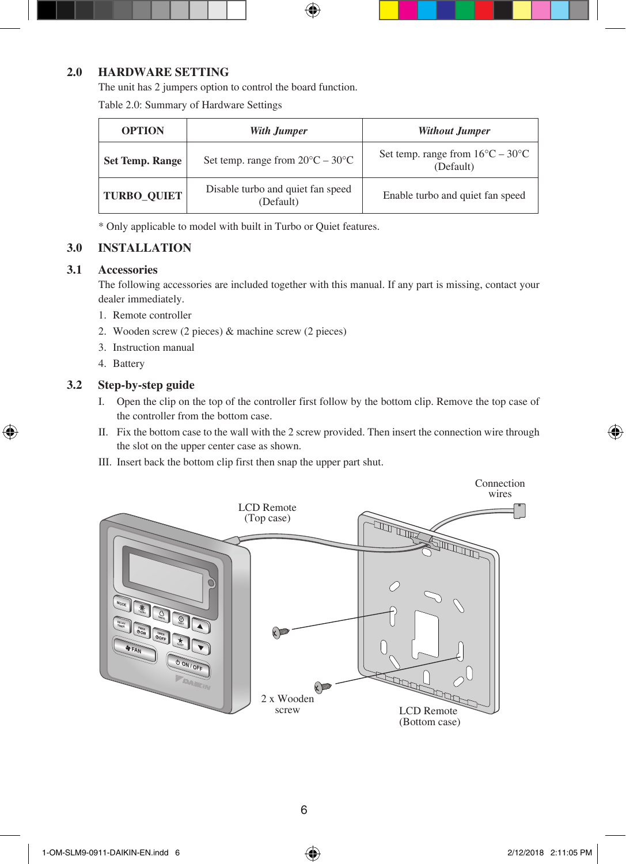## **2.0 HARDWARE SETTING**

The unit has 2 jumpers option to control the board function.

Table 2.0: Summary of Hardware Settings

| <b>OPTION</b>          | With Jumper                                          | <b>Without Jumper</b>                                         |
|------------------------|------------------------------------------------------|---------------------------------------------------------------|
| <b>Set Temp. Range</b> | Set temp. range from $20^{\circ}$ C – $30^{\circ}$ C | Set temp. range from $16^{\circ}C - 30^{\circ}C$<br>(Default) |
| <b>TURBO OUIET</b>     | Disable turbo and quiet fan speed<br>(Default)       | Enable turbo and quiet fan speed                              |

\* Only applicable to model with built in Turbo or Quiet features.

## **3.0 INSTALLATION**

#### **3.1 Accessories**

 The following accessories are included together with this manual. If any part is missing, contact your dealer immediately.

- 1. Remote controller
- 2. Wooden screw (2 pieces) & machine screw (2 pieces)
- 3. Instruction manual
- 4. Battery

### **3.2 Step-by-step guide**

- I. Open the clip on the top of the controller first follow by the bottom clip. Remove the top case of the controller from the bottom case.
- II. Fix the bottom case to the wall with the 2 screw provided. Then insert the connection wire through the slot on the upper center case as shown.
- III. Insert back the bottom clip first then snap the upper part shut.

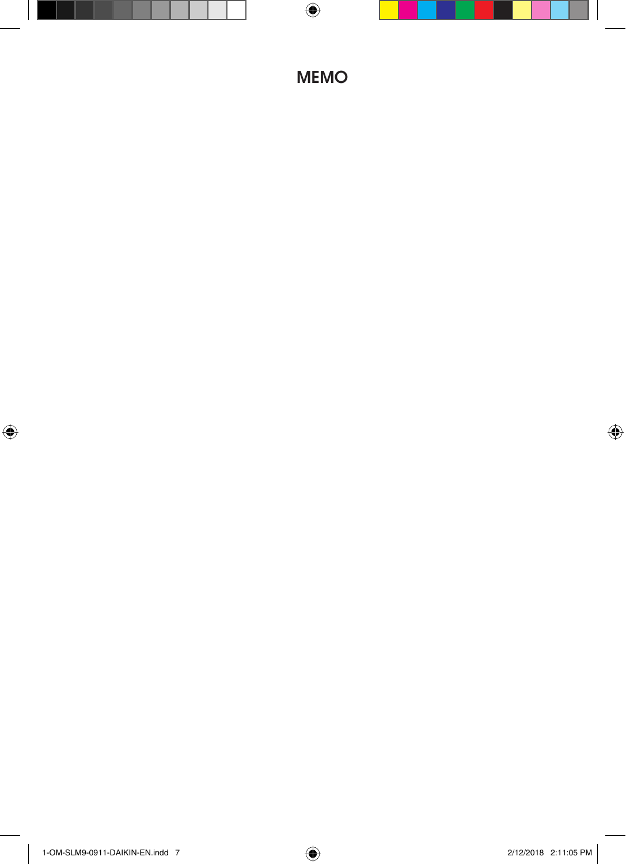## **MEMO**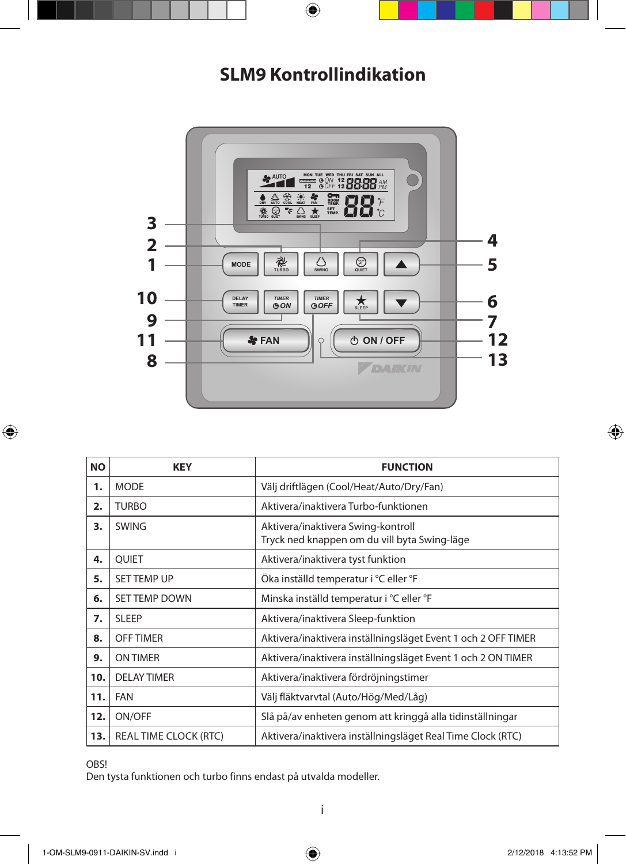## **SLM9 Kontrollindikation**



| <b>NO</b> | <b>KEY</b>                   | <b>FUNCTION</b>                                                                    |  |
|-----------|------------------------------|------------------------------------------------------------------------------------|--|
| 1.        | <b>MODE</b>                  | Välj driftlägen (Cool/Heat/Auto/Dry/Fan)                                           |  |
| 2.        | <b>TURBO</b>                 | Aktivera/inaktivera Turbo-funktionen                                               |  |
| з.        | <b>SWING</b>                 | Aktivera/inaktivera Swing-kontroll<br>Tryck ned knappen om du vill byta Swing-läge |  |
| 4.        | QUIET                        | Aktivera/inaktivera tyst funktion                                                  |  |
| 5.        | <b>SET TEMP UP</b>           | Öka inställd temperatur i °C eller °F                                              |  |
| 6.        | <b>SET TEMP DOWN</b>         | Minska inställd temperatur i °C eller °F                                           |  |
| 7.        | <b>SLEEP</b>                 | Aktivera/inaktivera Sleep-funktion                                                 |  |
| 8.        | <b>OFF TIMER</b>             | Aktivera/inaktivera inställningsläget Event 1 och 2 OFF TIMER                      |  |
| 9.        | <b>ON TIMER</b>              | Aktivera/inaktivera inställningsläget Event 1 och 2 ON TIMER                       |  |
| 10.       | <b>DELAY TIMER</b>           | Aktivera/inaktivera fördröjningstimer                                              |  |
| 11.       | <b>FAN</b>                   | Välj fläktvarvtal (Auto/Hög/Med/Låg)                                               |  |
| 12.       | ON/OFF                       | Slå på/av enheten genom att kringgå alla tidinställningar                          |  |
| 13.       | <b>REAL TIME CLOCK (RTC)</b> | Aktivera/inaktivera inställningsläget Real Time Clock (RTC)                        |  |

OBS!

Den tysta funktionen och turbo finns endast på utvalda modeller.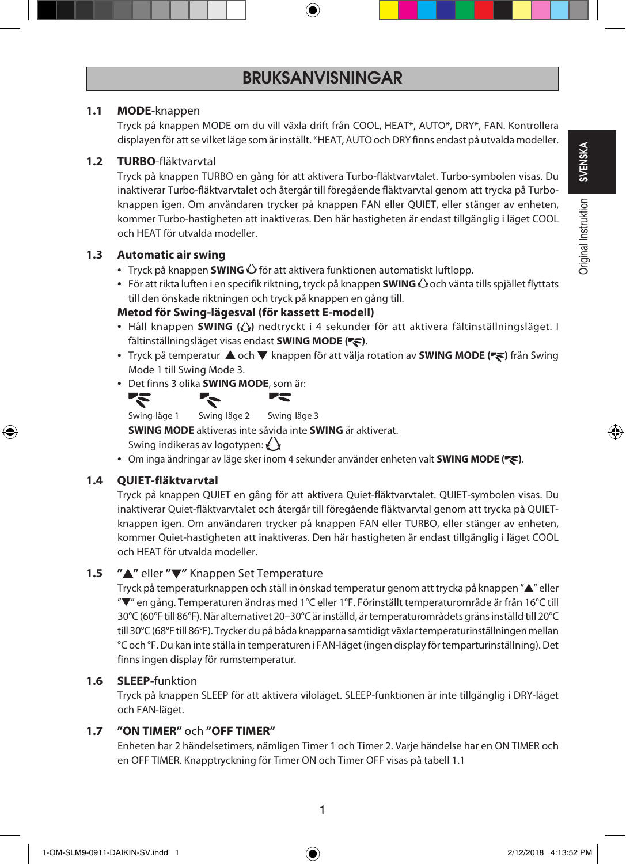## **BRUKSANVISNINGAR**

#### **1.1 MODE**-knappen

 Tryck på knappen MODE om du vill växla drift från COOL, HEAT\*, AUTO\*, DRY\*, FAN. Kontrollera displayen för att se vilket läge som är inställt. \*HEAT, AUTO och DRY finns endast på utvalda modeller.

#### **1.2 TURBO**-fläktvarvtal

 Tryck på knappen TURBO en gång för att aktivera Turbo-fläktvarvtalet. Turbo-symbolen visas. Du inaktiverar Turbo-fläktvarvtalet och återgår till föregående fläktvarvtal genom att trycka på Turboknappen igen. Om användaren trycker på knappen FAN eller QUIET, eller stänger av enheten, kommer Turbo-hastigheten att inaktiveras. Den här hastigheten är endast tillgänglig i läget COOL och HEAT för utvalda modeller.

#### **1.3 Automatic air swing**

- Tryck på knappen **SWING**  $\bigcirc$  för att aktivera funktionen automatiskt luftlopp.
- För att rikta luften i en specifik riktning, tryck på knappen **SWING** och vänta tills spjället flyttats till den önskade riktningen och tryck på knappen en gång till.

#### **Metod för Swing-lägesval (för kassett E-modell)**

- Håll knappen **SWING ( )** nedtryckt i 4 sekunder för att aktivera fältinställningsläget. I fältinställningsläget visas endast **SWING MODE** ( $\blacktriangledown$ ).
- Tryck på temperatur  $\triangle$  och  $\nabla$  knappen för att välja rotation av **SWING MODE (** $\leq$ **)** från Swing Mode 1 till Swing Mode 3.
- Det finns 3 olika **SWING MODE**, som är:



Swing-läge 1 Swing-läge 2 Swing-läge 3

**SWING MODE** aktiveras inte såvida inte **SWING** är aktiverat.

Swing indikeras av logotypen:

• Om inga ändringar av läge sker inom 4 sekunder använder enheten valt **SWING MODE (** $\leq$ ).

### **1.4 QUIET-fläktvarvtal**

 Tryck på knappen QUIET en gång för att aktivera Quiet-fläktvarvtalet. QUIET-symbolen visas. Du inaktiverar Quiet-fläktvarvtalet och återgår till föregående fläktvarvtal genom att trycka på QUIETknappen igen. Om användaren trycker på knappen FAN eller TURBO, eller stänger av enheten, kommer Quiet-hastigheten att inaktiveras. Den här hastigheten är endast tillgänglig i läget COOL och HEAT för utvalda modeller.

### **1.5 ″▲"** eller "▼" Knappen Set Temperature

Tryck på temperaturknappen och ställ in önskad temperatur genom att trycka på knappen " $\blacktriangle$ " eller " " en gång. Temperaturen ändras med 1°C eller 1°F. Förinställt temperaturområde är från 16°C till 30°C (60°F till 86°F). När alternativet 20–30°C är inställd, är temperaturområdets gräns inställd till 20°C till 30°C (68°F till 86°F). Trycker du på båda knapparna samtidigt växlar temperaturinställningen mellan °C och °F. Du kan inte ställa in temperaturen i FAN-läget (ingen display för temparturinställning). Det finns ingen display för rumstemperatur.

#### **1.6 SLEEP-**funktion

 Tryck på knappen SLEEP för att aktivera viloläget. SLEEP-funktionen är inte tillgänglig i DRY-läget och FAN-läget.

## **1.7 "ON TIMER"** och **"OFF TIMER"**

 Enheten har 2 händelsetimers, nämligen Timer 1 och Timer 2. Varje händelse har en ON TIMER och en OFF TIMER. Knapptryckning för Timer ON och Timer OFF visas på tabell 1.1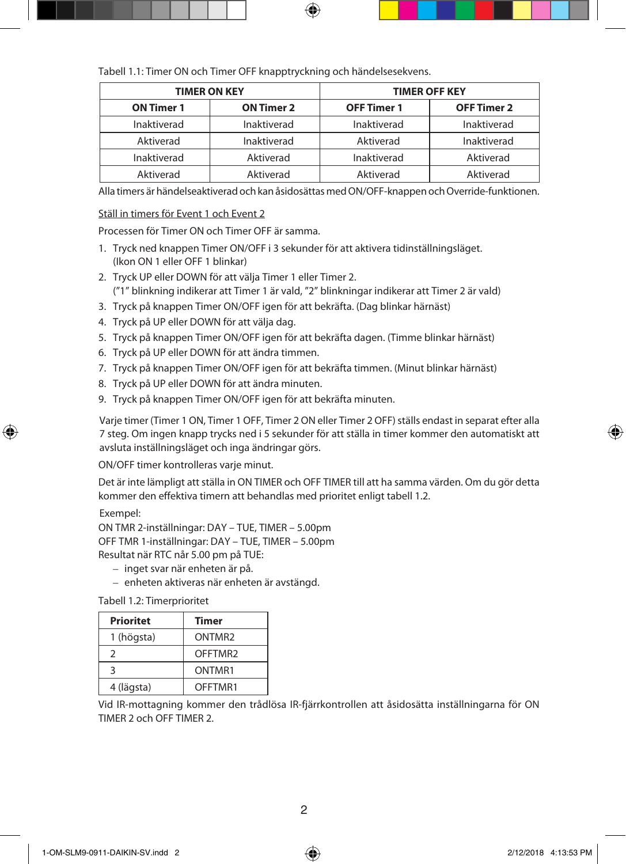Tabell 1.1: Timer ON och Timer OFF knapptryckning och händelsesekvens.

| <b>TIMER ON KEY</b> |                   | <b>TIMER OFF KEY</b> |                    |
|---------------------|-------------------|----------------------|--------------------|
| <b>ON Timer 1</b>   | <b>ON Timer 2</b> | <b>OFF Timer 1</b>   | <b>OFF Timer 2</b> |
| Inaktiverad         | Inaktiverad       | Inaktiverad          | Inaktiverad        |
| Aktiverad           | Inaktiverad       | Aktiverad            | Inaktiverad        |
| Inaktiverad         | Aktiverad         | Inaktiverad          | Aktiverad          |
| Aktiverad           | Aktiverad         | Aktiverad            | Aktiverad          |

Alla timers är händelseaktiverad och kan åsidosättas med ON/OFF-knappen och Override-funktionen.

#### Ställ in timers för Event 1 och Event 2

Processen för Timer ON och Timer OFF är samma.

- 1. Tryck ned knappen Timer ON/OFF i 3 sekunder för att aktivera tidinställningsläget. (Ikon ON 1 eller OFF 1 blinkar)
- 2. Tryck UP eller DOWN för att välja Timer 1 eller Timer 2. ("1" blinkning indikerar att Timer 1 är vald, "2" blinkningar indikerar att Timer 2 är vald)
- 3. Tryck på knappen Timer ON/OFF igen för att bekräfta. (Dag blinkar härnäst)
- 4. Tryck på UP eller DOWN för att välja dag.
- 5. Tryck på knappen Timer ON/OFF igen för att bekräfta dagen. (Timme blinkar härnäst)
- 6. Tryck på UP eller DOWN för att ändra timmen.
- 7. Tryck på knappen Timer ON/OFF igen för att bekräfta timmen. (Minut blinkar härnäst)
- 8. Tryck på UP eller DOWN för att ändra minuten.
- 9. Tryck på knappen Timer ON/OFF igen för att bekräfta minuten.

 Varje timer (Timer 1 ON, Timer 1 OFF, Timer 2 ON eller Timer 2 OFF) ställs endast in separat efter alla 7 steg. Om ingen knapp trycks ned i 5 sekunder för att ställa in timer kommer den automatiskt att avsluta inställningsläget och inga ändringar görs.

ON/OFF timer kontrolleras varje minut.

 Det är inte lämpligt att ställa in ON TIMER och OFF TIMER till att ha samma värden. Om du gör detta kommer den effektiva timern att behandlas med prioritet enligt tabell 1.2.

Exempel:

ON TMR 2-inställningar: DAY – TUE, TIMER – 5.00pm OFF TMR 1-inställningar: DAY – TUE, TIMER – 5.00pm Resultat när RTC når 5.00 pm på TUE:

- inget svar när enheten är på.
- enheten aktiveras när enheten är avstängd.

Tabell 1.2: Timerprioritet

| <b>Prioritet</b> | Timer              |
|------------------|--------------------|
| 1 (högsta)       | ONTMR <sub>2</sub> |
| 2                | OFFTMR2            |
| २                | ONTMR1             |
| 4 (lägsta)       | OFFTMR1            |

 Vid IR-mottagning kommer den trådlösa IR-fjärrkontrollen att åsidosätta inställningarna för ON TIMER 2 och OFF TIMER 2.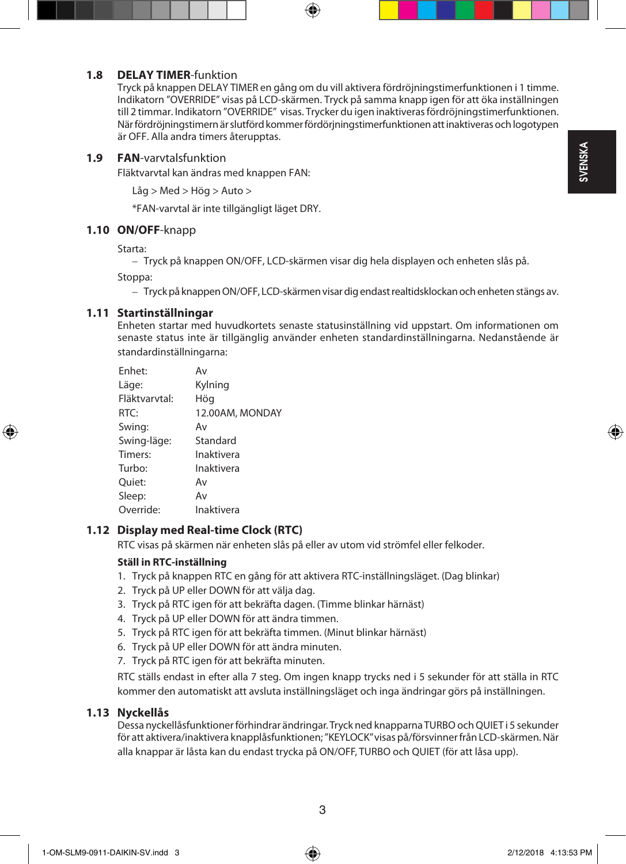# **SVENSKA**

#### **1.8 DELAY TIMER**-funktion

Tryck på knappen DELAY TIMER en gång om du vill aktivera fördröjningstimerfunktionen i 1 timme. Indikatorn "OVERRIDE" visas på LCD-skärmen. Tryck på samma knapp igen för att öka inställningen till 2 timmar. Indikatorn "OVERRIDE" visas. Trycker du igen inaktiveras fördröjningstimerfunktionen. När fördröjningstimern är slutförd kommer fördörjningstimerfunktionen att inaktiveras och logotypen är OFF. Alla andra timers återupptas.

#### **1.9 FAN**-varvtalsfunktion

Fläktvarvtal kan ändras med knappen FAN:

Låg > Med > Hög > Auto >

\*FAN-varvtal är inte tillgängligt läget DRY.

#### **1.10 ON/OFF**-knapp

Starta:

– Tryck på knappen ON/OFF, LCD-skärmen visar dig hela displayen och enheten slås på.

Stoppa:

– Tryck på knappen ON/OFF, LCD-skärmen visar dig endast realtidsklockan och enheten stängs av.

#### **1.11 Startinställningar**

 Enheten startar med huvudkortets senaste statusinställning vid uppstart. Om informationen om senaste status inte är tillgänglig använder enheten standardinställningarna. Nedanstående är standardinställningarna:

| Enhet:        | Av              |
|---------------|-----------------|
| Läge:         | Kylning         |
| Fläktvarvtal: | Hög             |
| RTC:          | 12.00AM, MONDAY |
| Swing:        | Av              |
| Swing-läge:   | Standard        |
| Timers:       | Inaktivera      |
| Turbo:        | Inaktivera      |
| Ouiet:        | Av              |
| Sleep:        | Av              |
| Override:     | Inaktivera      |

#### **1.12 Display med Real-time Clock (RTC)**

RTC visas på skärmen när enheten slås på eller av utom vid strömfel eller felkoder.

#### **Ställ in RTC-inställning**

- 1. Tryck på knappen RTC en gång för att aktivera RTC-inställningsläget. (Dag blinkar)
- 2. Tryck på UP eller DOWN för att välja dag.
- 3. Tryck på RTC igen för att bekräfta dagen. (Timme blinkar härnäst)
- 4. Tryck på UP eller DOWN för att ändra timmen.
- 5. Tryck på RTC igen för att bekräfta timmen. (Minut blinkar härnäst)
- 6. Tryck på UP eller DOWN för att ändra minuten.
- 7. Tryck på RTC igen för att bekräfta minuten.

 RTC ställs endast in efter alla 7 steg. Om ingen knapp trycks ned i 5 sekunder för att ställa in RTC kommer den automatiskt att avsluta inställningsläget och inga ändringar görs på inställningen.

#### **1.13 Nyckellås**

 Dessa nyckellåsfunktioner förhindrar ändringar. Tryck ned knapparna TURBO och QUIET i 5 sekunder för att aktivera/inaktivera knapplåsfunktionen; "KEYLOCK" visas på/försvinner från LCD-skärmen. När alla knappar är låsta kan du endast trycka på ON/OFF, TURBO och QUIET (för att låsa upp).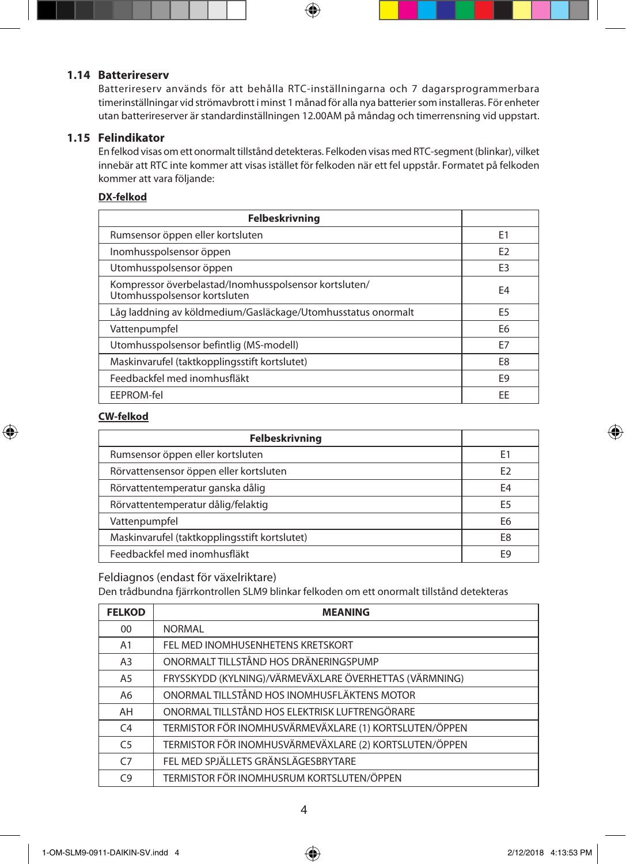#### **1.14 Batterireserv**

 Batterireserv används för att behålla RTC-inställningarna och 7 dagarsprogrammerbara timerinställningar vid strömavbrott i minst 1 månad för alla nya batterier som installeras. För enheter utan batterireserver är standardinställningen 12.00AM på måndag och timerrensning vid uppstart.

#### **1.15 Felindikator**

 En felkod visas om ett onormalt tillstånd detekteras. Felkoden visas med RTC-segment (blinkar), vilket innebär att RTC inte kommer att visas istället för felkoden när ett fel uppstår. Formatet på felkoden kommer att vara följande:

#### **DX-felkod**

| <b>Felbeskrivning</b>                                                                 |                |
|---------------------------------------------------------------------------------------|----------------|
| Rumsensor öppen eller kortsluten                                                      | E <sub>1</sub> |
| Inomhusspolsensor öppen                                                               | F <sub>2</sub> |
| Utomhusspolsensor öppen                                                               | E <sub>3</sub> |
| Kompressor överbelastad/Inomhusspolsensor kortsluten/<br>Utomhusspolsensor kortsluten | E <sub>4</sub> |
| Låg laddning av köldmedium/Gasläckage/Utomhusstatus onormalt                          | E <sub>5</sub> |
| Vattenpumpfel                                                                         | E <sub>6</sub> |
| Utomhusspolsensor befintlig (MS-modell)                                               | F7             |
| Maskinvarufel (taktkopplingsstift kortslutet)                                         | E8             |
| Feedbackfel med inomhusfläkt                                                          | F9             |
| EEPROM-fel                                                                            | EE             |

#### **CW-felkod**

| <b>Felbeskrivning</b>                         |                |
|-----------------------------------------------|----------------|
| Rumsensor öppen eller kortsluten              | E1             |
| Rörvattensensor öppen eller kortsluten        | E <sub>2</sub> |
| Rörvattentemperatur ganska dålig              | E4             |
| Rörvattentemperatur dålig/felaktig            | F5             |
| Vattenpumpfel                                 | E6             |
| Maskinvarufel (taktkopplingsstift kortslutet) | E8             |
| Feedbackfel med inomhusfläkt                  |                |

Feldiagnos (endast för växelriktare)

Den trådbundna fjärrkontrollen SLM9 blinkar felkoden om ett onormalt tillstånd detekteras

| <b>FELKOD</b>  | <b>MEANING</b>                                         |
|----------------|--------------------------------------------------------|
| $00\,$         | <b>NORMAL</b>                                          |
| A1             | FEL MED INOMHUSENHETENS KRETSKORT                      |
| A <sub>3</sub> | ONORMALT TILLSTÅND HOS DRÄNERINGSPUMP                  |
| A <sub>5</sub> | FRYSSKYDD (KYLNING)/VÄRMEVÄXLARE ÖVERHETTAS (VÄRMNING) |
| A <sub>6</sub> | ONORMAL TILLSTÅND HOS INOMHUSFLÄKTENS MOTOR            |
| AH             | ONORMAL TILLSTÅND HOS ELEKTRISK LUFTRENGÖRARE          |
| C <sub>4</sub> | TERMISTOR FÖR INOMHUSVÄRMEVÄXLARE (1) KORTSLUTEN/ÖPPEN |
| C <sub>5</sub> | TERMISTOR FÖR INOMHUSVÄRMEVÄXLARE (2) KORTSLUTEN/ÖPPEN |
| C <sub>7</sub> | FEL MED SPJÄLLETS GRÄNSLÄGESBRYTARE                    |
| C9             | TERMISTOR FÖR INOMHUSRUM KORTSLUTEN/ÖPPEN              |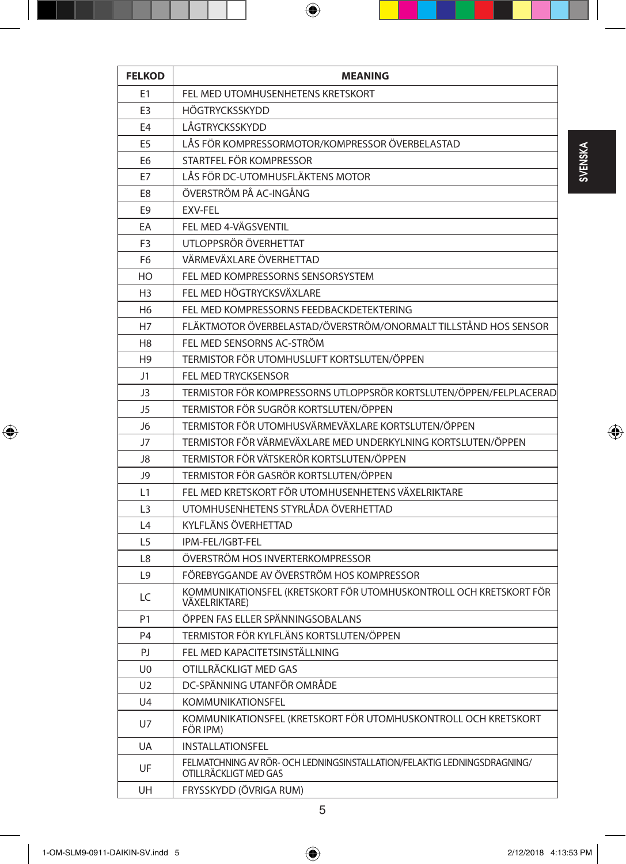| <b>FELKOD</b>  | <b>MEANING</b>                                                                                    |
|----------------|---------------------------------------------------------------------------------------------------|
| E1             | FEL MED UTOMHUSENHETENS KRETSKORT                                                                 |
| E <sub>3</sub> | <b>HÖGTRYCKSSKYDD</b>                                                                             |
| E4             | LÅGTRYCKSSKYDD                                                                                    |
| E <sub>5</sub> | LÅS FÖR KOMPRESSORMOTOR/KOMPRESSOR ÖVERBELASTAD                                                   |
| E6             | STARTFEL FÖR KOMPRESSOR                                                                           |
| E7             | LÅS FÖR DC-UTOMHUSFLÄKTENS MOTOR                                                                  |
| E8             | ÖVERSTRÖM PÅ AC-INGÅNG                                                                            |
| E9             | EXV-FEL                                                                                           |
| EA             | FEL MED 4-VÄGSVENTIL                                                                              |
| F <sub>3</sub> | UTLOPPSRÖR ÖVERHETTAT                                                                             |
| F6             | VÄRMEVÄXLARE ÖVERHETTAD                                                                           |
| HO             | FEL MED KOMPRESSORNS SENSORSYSTEM                                                                 |
| H3             | FEL MED HÖGTRYCKSVÄXLARE                                                                          |
| H <sub>6</sub> | FEL MED KOMPRESSORNS FEEDBACKDETEKTERING                                                          |
| Η7             | FLÄKTMOTOR ÖVERBELASTAD/ÖVERSTRÖM/ONORMALT TILLSTÅND HOS SENSOR                                   |
| H <sub>8</sub> | FEL MED SENSORNS AC-STRÖM                                                                         |
| H <sub>9</sub> | TERMISTOR FÖR UTOMHUSLUFT KORTSLUTEN/ÖPPEN                                                        |
| J1             | <b>FEL MED TRYCKSENSOR</b>                                                                        |
| J3             | TERMISTOR FÖR KOMPRESSORNS UTLOPPSRÖR KORTSLUTEN/ÖPPEN/FELPLACERAD                                |
| J5             | TERMISTOR FÖR SUGRÖR KORTSLUTEN/ÖPPEN                                                             |
| J6             | TERMISTOR FÖR UTOMHUSVÄRMEVÄXLARE KORTSLUTEN/ÖPPEN                                                |
| J7             | TERMISTOR FÖR VÄRMEVÄXLARE MED UNDERKYLNING KORTSLUTEN/ÖPPEN                                      |
| J8             | TERMISTOR FÖR VÄTSKERÖR KORTSLUTEN/ÖPPEN                                                          |
| J9             | TERMISTOR FÖR GASRÖR KORTSLUTEN/ÖPPEN                                                             |
| L1             | FEL MED KRETSKORT FÖR UTOMHUSENHETENS VÄXELRIKTARE                                                |
| L3             | UTOMHUSENHETENS STYRLÅDA ÖVERHETTAD                                                               |
| L4             | KYLFLÄNS ÖVERHETTAD                                                                               |
| L5             | IPM-FEL/IGBT-FEL                                                                                  |
| L8             | ÖVERSTRÖM HOS INVERTERKOMPRESSOR                                                                  |
| L <sub>9</sub> | FÖREBYGGANDE AV ÖVERSTRÖM HOS KOMPRESSOR                                                          |
| LC             | KOMMUNIKATIONSFEL (KRETSKORT FÖR UTOMHUSKONTROLL OCH KRETSKORT FÖR<br><b>VÄXELRIKTARE</b> )       |
| P1             | ÖPPEN FAS ELLER SPÄNNINGSOBALANS                                                                  |
| P <sub>4</sub> | TERMISTOR FÖR KYLFLÄNS KORTSLUTEN/ÖPPEN                                                           |
| PJ             | FEL MED KAPACITETSINSTÄLLNING                                                                     |
| U0             | OTILLRÄCKLIGT MED GAS                                                                             |
| U <sub>2</sub> | DC-SPÄNNING UTANFÖR OMRÅDE                                                                        |
| U4             | <b>KOMMUNIKATIONSFEL</b>                                                                          |
| U7             | KOMMUNIKATIONSFEL (KRETSKORT FÖR UTOMHUSKONTROLL OCH KRETSKORT<br>FÖR IPM)                        |
| UA             | <b>INSTALLATIONSFEL</b>                                                                           |
| UF             | FELMATCHNING AV RÖR- OCH LEDNINGSINSTALLATION/FELAKTIG LEDNINGSDRAGNING/<br>OTILLRÄCKLIGT MED GAS |
| UH             | FRYSSKYDD (ÖVRIGA RUM)                                                                            |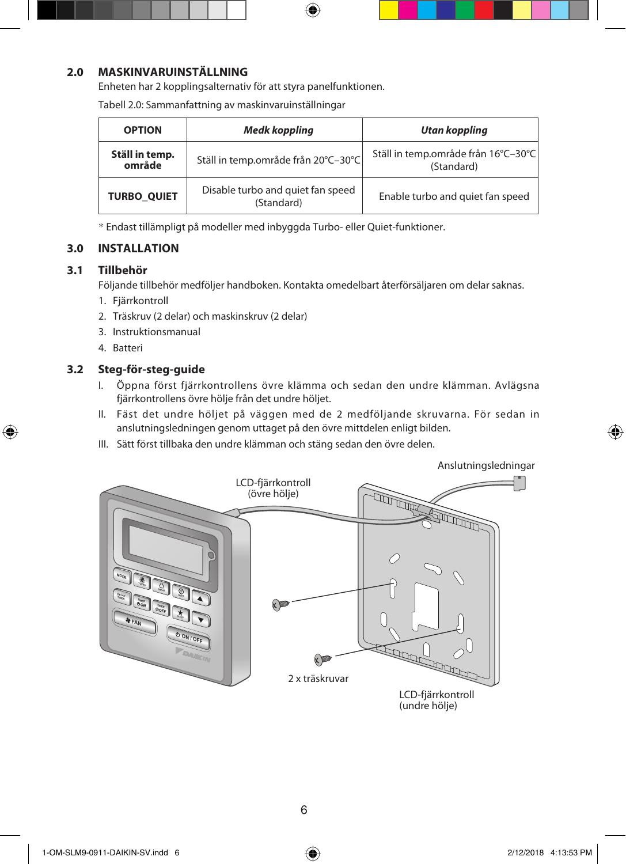#### **2.0 MASKINVARUINSTÄLLNING**

Enheten har 2 kopplingsalternativ för att styra panelfunktionen.

| <b>OPTION</b>            | Medk koppling                                   | Utan koppling                                     |
|--------------------------|-------------------------------------------------|---------------------------------------------------|
| Ställ in temp.<br>område | Ställ in temp.område från 20°C-30°C             | Ställ in temp.område från 16°C-30°C<br>(Standard) |
| <b>TURBO QUIET</b>       | Disable turbo and quiet fan speed<br>(Standard) | Enable turbo and quiet fan speed                  |

Tabell 2.0: Sammanfattning av maskinvaruinställningar

\* Endast tillämpligt på modeller med inbyggda Turbo- eller Quiet-funktioner.

## **3.0 INSTALLATION**

#### **3.1 Tillbehör**

Följande tillbehör medföljer handboken. Kontakta omedelbart återförsäljaren om delar saknas.

- 1. Fjärrkontroll
- 2. Träskruv (2 delar) och maskinskruv (2 delar)
- 3. Instruktionsmanual
- 4. Batteri

#### **3.2 Steg-för-steg-guide**

- I. Öppna först fjärrkontrollens övre klämma och sedan den undre klämman. Avlägsna fjärrkontrollens övre hölje från det undre höljet.
- II. Fäst det undre höljet på väggen med de 2 medföljande skruvarna. För sedan in anslutningsledningen genom uttaget på den övre mittdelen enligt bilden.
- III. Sätt först tillbaka den undre klämman och stäng sedan den övre delen.



(undre hölje)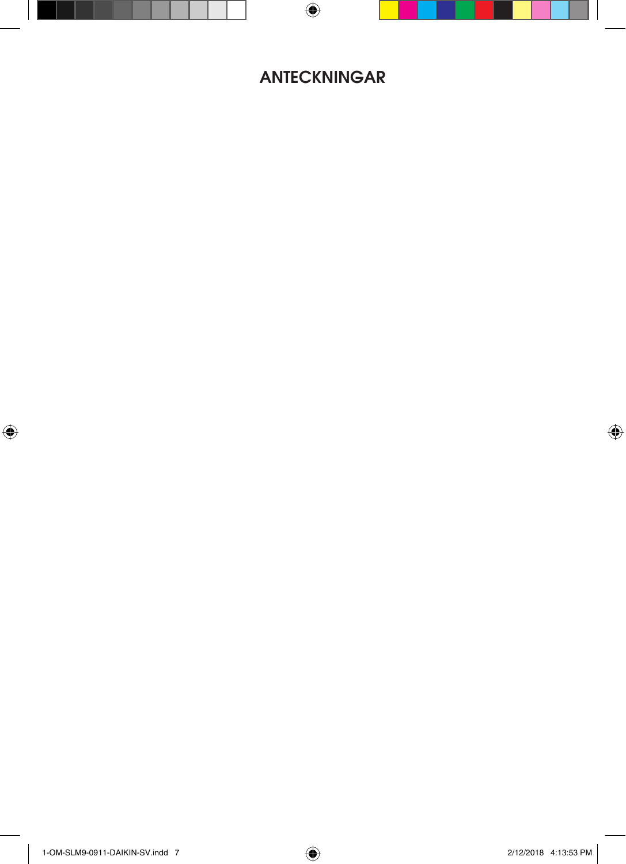## **ANTECKNINGAR**